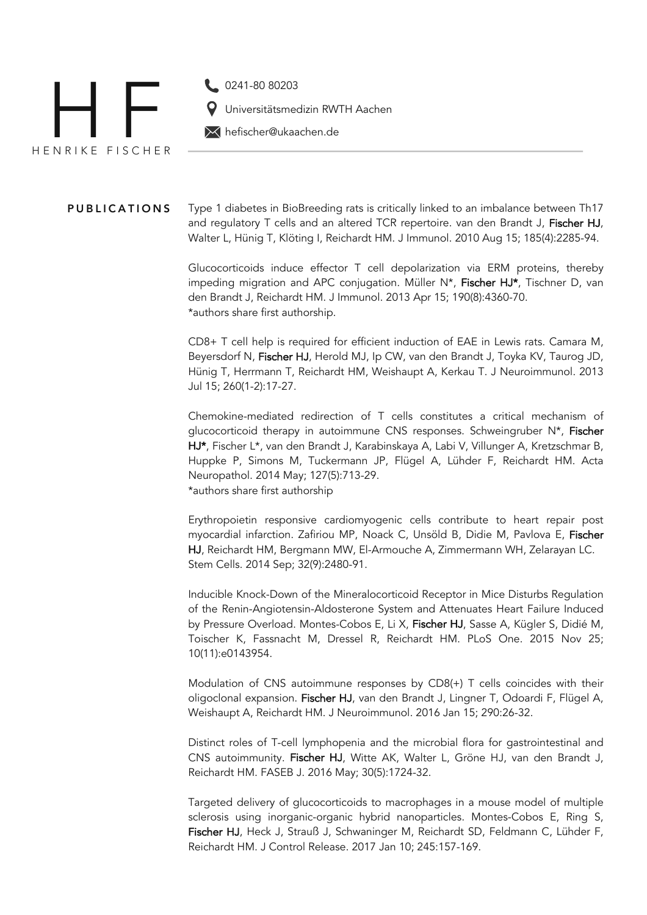

Universitätsmedizin RWTH Aachen

hefischer@ukaachen.de

PUBLICATIONS Type 1 diabetes in BioBreeding rats is critically linked to an imbalance between Th17 and regulatory T cells and an altered TCR repertoire. van den Brandt J, Fischer HJ, Walter L, Hünig T, Klöting I, Reichardt HM. J Immunol. 2010 Aug 15; 185(4):2285-94.

> Glucocorticoids induce effector T cell depolarization via ERM proteins, thereby impeding migration and APC conjugation. Müller N\*, Fischer HJ\*, Tischner D, van den Brandt J, Reichardt HM. J Immunol. 2013 Apr 15; 190(8):4360-70. \*authors share first authorship.

> CD8+ T cell help is required for efficient induction of EAE in Lewis rats. Camara M, Beyersdorf N, Fischer HJ, Herold MJ, Ip CW, van den Brandt J, Toyka KV, Taurog JD, Hünig T, Herrmann T, Reichardt HM, Weishaupt A, Kerkau T. J Neuroimmunol. 2013 Jul 15; 260(1-2):17-27.

> Chemokine-mediated redirection of T cells constitutes a critical mechanism of glucocorticoid therapy in autoimmune CNS responses. Schweingruber N\*, Fischer HJ\*, Fischer L\*, van den Brandt J, Karabinskaya A, Labi V, Villunger A, Kretzschmar B, Huppke P, Simons M, Tuckermann JP, Flügel A, Lühder F, Reichardt HM. Acta Neuropathol. 2014 May; 127(5):713-29. \*authors share first authorship

> Erythropoietin responsive cardiomyogenic cells contribute to heart repair post myocardial infarction. Zafiriou MP, Noack C, Unsöld B, Didie M, Pavlova E, Fischer HJ, Reichardt HM, Bergmann MW, El-Armouche A, Zimmermann WH, Zelarayan LC. Stem Cells. 2014 Sep; 32(9):2480-91.

> Inducible Knock-Down of the Mineralocorticoid Receptor in Mice Disturbs Regulation of the Renin-Angiotensin-Aldosterone System and Attenuates Heart Failure Induced by Pressure Overload. Montes-Cobos E, Li X, Fischer HJ, Sasse A, Kügler S, Didié M, Toischer K, Fassnacht M, Dressel R, Reichardt HM. PLoS One. 2015 Nov 25; 10(11):e0143954.

> Modulation of CNS autoimmune responses by CD8(+) T cells coincides with their oligoclonal expansion. Fischer HJ, van den Brandt J, Lingner T, Odoardi F, Flügel A, Weishaupt A, Reichardt HM. J Neuroimmunol. 2016 Jan 15; 290:26-32.

> Distinct roles of T-cell lymphopenia and the microbial flora for gastrointestinal and CNS autoimmunity. Fischer HJ, Witte AK, Walter L, Gröne HJ, van den Brandt J, Reichardt HM. FASEB J. 2016 May; 30(5):1724-32.

> Targeted delivery of glucocorticoids to macrophages in a mouse model of multiple sclerosis using inorganic-organic hybrid nanoparticles. Montes-Cobos E, Ring S, Fischer HJ, Heck J, Strauß J, Schwaninger M, Reichardt SD, Feldmann C, Lühder F, Reichardt HM. J Control Release. 2017 Jan 10; 245:157-169.